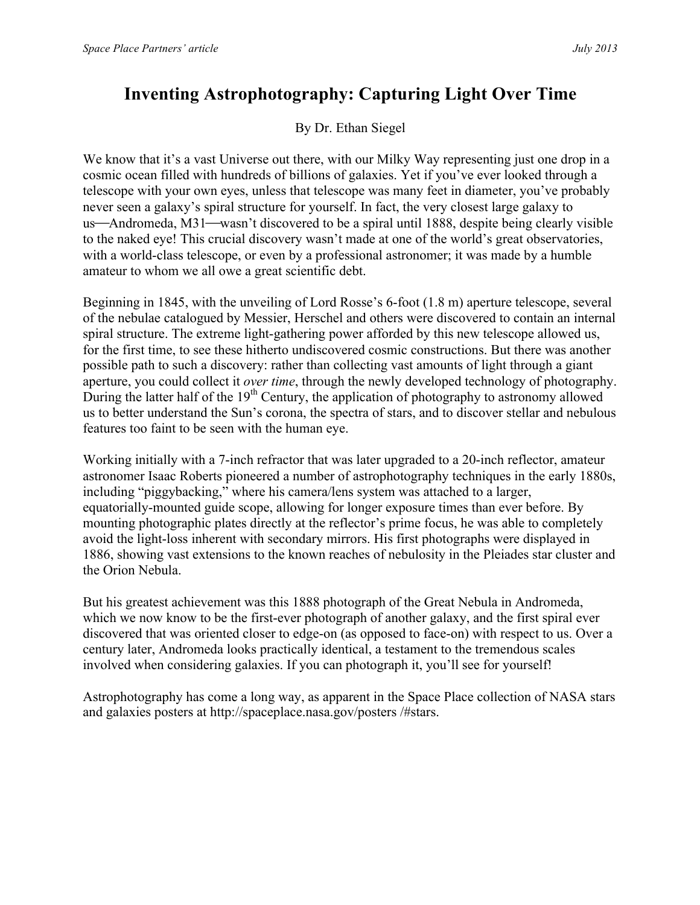## **Inventing Astrophotography: Capturing Light Over Time**

By Dr. Ethan Siegel

We know that it's a vast Universe out there, with our Milky Way representing just one drop in a cosmic ocean filled with hundreds of billions of galaxies. Yet if you've ever looked through a telescope with your own eyes, unless that telescope was many feet in diameter, you've probably never seen a galaxy's spiral structure for yourself. In fact, the very closest large galaxy to us—Andromeda, M31—wasn't discovered to be a spiral until 1888, despite being clearly visible to the naked eye! This crucial discovery wasn't made at one of the world's great observatories, with a world-class telescope, or even by a professional astronomer; it was made by a humble amateur to whom we all owe a great scientific debt.

Beginning in 1845, with the unveiling of Lord Rosse's 6-foot (1.8 m) aperture telescope, several of the nebulae catalogued by Messier, Herschel and others were discovered to contain an internal spiral structure. The extreme light-gathering power afforded by this new telescope allowed us, for the first time, to see these hitherto undiscovered cosmic constructions. But there was another possible path to such a discovery: rather than collecting vast amounts of light through a giant aperture, you could collect it *over time*, through the newly developed technology of photography. During the latter half of the  $19<sup>th</sup>$  Century, the application of photography to astronomy allowed us to better understand the Sun's corona, the spectra of stars, and to discover stellar and nebulous features too faint to be seen with the human eye.

Working initially with a 7-inch refractor that was later upgraded to a 20-inch reflector, amateur astronomer Isaac Roberts pioneered a number of astrophotography techniques in the early 1880s, including "piggybacking," where his camera/lens system was attached to a larger, equatorially-mounted guide scope, allowing for longer exposure times than ever before. By mounting photographic plates directly at the reflector's prime focus, he was able to completely avoid the light-loss inherent with secondary mirrors. His first photographs were displayed in 1886, showing vast extensions to the known reaches of nebulosity in the Pleiades star cluster and the Orion Nebula.

But his greatest achievement was this 1888 photograph of the Great Nebula in Andromeda, which we now know to be the first-ever photograph of another galaxy, and the first spiral ever discovered that was oriented closer to edge-on (as opposed to face-on) with respect to us. Over a century later, Andromeda looks practically identical, a testament to the tremendous scales involved when considering galaxies. If you can photograph it, you'll see for yourself!

Astrophotography has come a long way, as apparent in the Space Place collection of NASA stars and galaxies posters at http://spaceplace.nasa.gov/posters /#stars.